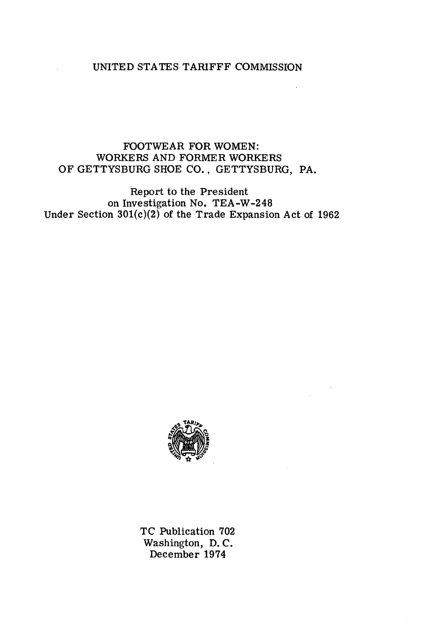# UNITED STATES TARIFFF COMMISSION

# FOOTWEAR FOR WOMEN: WORKERS AND FORMER WORKERS OF GETTYSBURG SHOE CO., GETTYSBURG, PA.

Report to the President on Investigation No. TEA-W-248 Under Section  $301(c)(2)$  of the Trade Expansion Act of 1962



TC Publication 702 Washington, D. C. December 1974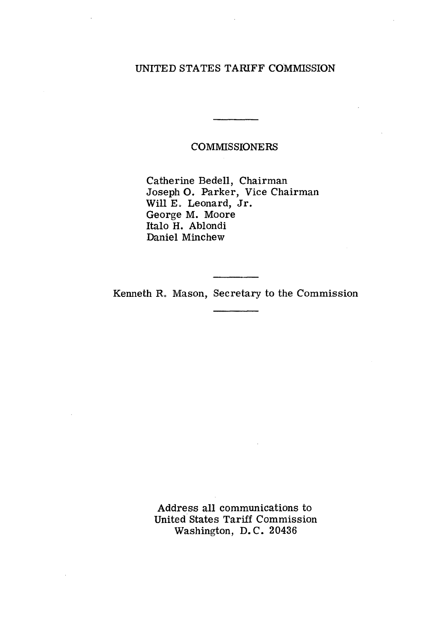# UNITED STATES TARIFF COMMISSION

# COMMISSIONERS

Catherine Bedell, Chairman Joseph O. Parker, Vice Chairman Will E. Leonard, Jr. George M. Moore Italo H. Ablondi Daniel Minchew

Kenneth R. Mason, Secretary to the Commission

Address all communications to United States Tariff Commission Washington, D. C. 20436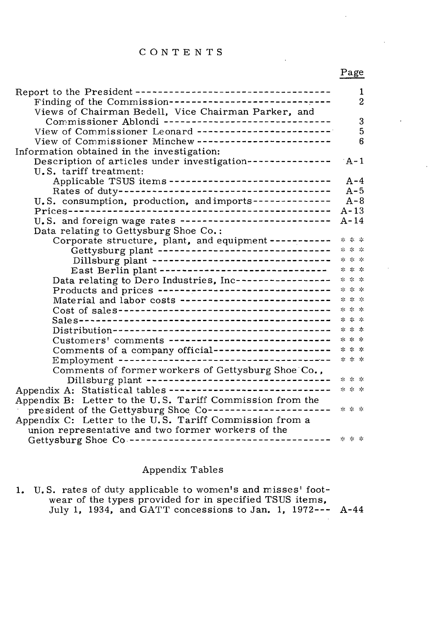# CONTENTS

# Page

 $\ddot{\phantom{0}}$ 

 $\bar{z}$ 

| Finding of the Commission-----------------------------                                                             | $\mathbf{1}$<br>$\overline{c}$               |
|--------------------------------------------------------------------------------------------------------------------|----------------------------------------------|
| Views of Chairman Bedell, Vice Chairman Parker, and                                                                |                                              |
| Commissioner Ablondi ------------------------------                                                                | 3                                            |
| View of Commissioner Leonard ------------------------                                                              | 5                                            |
| View of Commissioner Minchew ------------------------                                                              | 6                                            |
| Information obtained in the investigation:                                                                         |                                              |
| Description of articles under investigation---------------                                                         | $A-1$                                        |
| U.S. tariff treatment:                                                                                             |                                              |
| Applicable TSUS items ------------------------------                                                               | $A - 4$                                      |
|                                                                                                                    | $A-5$                                        |
| U.S. consumption, production, and imports--------------                                                            | $A - 8$                                      |
| ----------------------------------<br>$Prices-----$                                                                | $A - 13$                                     |
| U.S. and foreign wage rates ---------------------------                                                            | $A - 14$                                     |
| Data relating to Gettysburg Shoe Co.:                                                                              | * * *                                        |
| Corporate structure, plant, and equipment -----------                                                              | $\mathbb{R}^k$ $\mathbb{R}^k$ $\mathbb{R}^k$ |
| Gettysburg plant --------------------------------                                                                  |                                              |
| Dillsburg plant -------------------------------- ***                                                               |                                              |
| East Berlin plant ------------------------------ ***                                                               | $* * *$                                      |
| Data relating to Dero Industries, Inc-----------------                                                             | * * *                                        |
| Products and prices -------------------------------                                                                | $\approx~\approx~\approx$                    |
| Material and labor costs ---------------------------                                                               | * * *                                        |
|                                                                                                                    | * * *                                        |
|                                                                                                                    | * * *                                        |
| Customers' comments ------------------------------                                                                 | * * *                                        |
|                                                                                                                    | * * *                                        |
| Comments of a company official---------------------                                                                | * * *                                        |
|                                                                                                                    |                                              |
| Comments of former workers of Gettysburg Shoe Co.,                                                                 | * * *                                        |
| Dillsburg plant ---------------------------------<br>Appendix A: Statistical tables ------------------------------ | * * *                                        |
|                                                                                                                    |                                              |
| Appendix B: Letter to the U.S. Tariff Commission from the                                                          | * * *                                        |
| president of the Gettysburg Shoe Co-----------                                                                     |                                              |
| Appendix C: Letter to the U.S. Tariff Commission from a                                                            |                                              |
| union representative and two former workers of the                                                                 |                                              |
|                                                                                                                    |                                              |

# Appendix Tables

| 1. U.S. rates of duty applicable to women's and misses' foot- |  |
|---------------------------------------------------------------|--|
| wear of the types provided for in specified TSUS items.       |  |
| July 1, 1934, and GATT concessions to Jan. 1, 1972--- $A-44$  |  |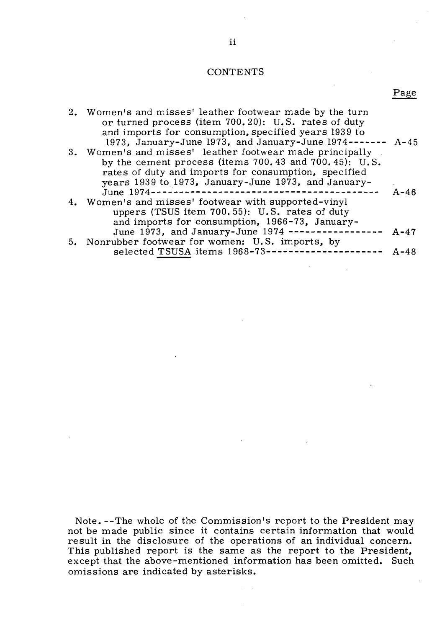#### **CONTENTS**

2. Women's and misses' leather footwear made by the turn

| 2. Women's and misses reather footwear made by the turn    |          |
|------------------------------------------------------------|----------|
| or turned process (item 700.20): U.S. rates of duty        |          |
| and imports for consumption, specified years 1939 to       |          |
| 1973, January-June 1973, and January-June 1974------- A-45 |          |
| 3. Women's and misses' leather footwear made principally   |          |
| by the cement process (items $700.43$ and $700.45$ ): U.S. |          |
| rates of duty and imports for consumption, specified       |          |
| years 1939 to 1973, January-June 1973, and January-        |          |
| June 1974 ----                                             | $A - 46$ |
| 4. Women's and misses' footwear with supported-vinyl       |          |
| uppers (TSUS item 700.55): U.S. rates of duty              |          |
| and imports for consumption, 1966-73, January-             |          |
| June 1973, and January-June 1974 -----------------         | $A - 47$ |
| 5. Nonrubber footwear for women: U.S. imports, by          |          |
| selected TSUSA items 1968-73---------------------          | $A - 48$ |
|                                                            |          |

Note. --The whole of the Commission's report to the President may not be made public since it contains certain information that would result in the disclosure of the operations of an individual concern. This published report is the same as the report to the President, except that the above-mentioned information has been omitted. Such omissions are indicated by asterisks.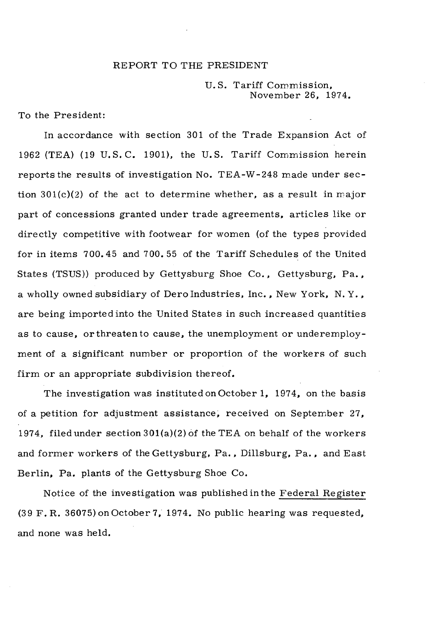#### REPORT TO THE PRESIDENT

U.S. Tariff Commission, November 26, 1974.

To the President:

In accordance with section 301 of the Trade Expansion Act of 1962 (TEA) (19 U.S. C. 1901), the U.S. Tariff Commission herein reports the results of investigation No. TEA-W-248 made under section  $301(c)(2)$  of the act to determine whether, as a result in major part of concessions granted under trade agreements, articles like or directly competitive with footwear for women (of the types provided for in items 700. 45 and 700. 55 of the Tariff Schedules of the United States (TSUS)) produced by Gettysburg Shoe Co., Gettysburg, Pa., a wholly owned subsidiary of Dero Industries, Inc., New York, N.Y., are being imported into the United States in such increased quantities as to cause, or threaten to cause, the unemployment or underemployment of a significant number or proportion of the workers of such firm or an appropriate subdivision thereof.

The investigation was instituted on October 1, 1974, on the basis of a petition for adjustment assistance, received on September 27, 1974, filed under section 301(a)(2) of the TEA on behalf of the workers and former workers of the Gettysburg, Pa., Dillsburg, Pa., and East Berlin, Pa. plants of the Gettysburg Shoe Co.

Notice of the investigation was published in the Federal Register (39 F. R. 36075) on October 7, 1974. No public hearing was requested, and none was held.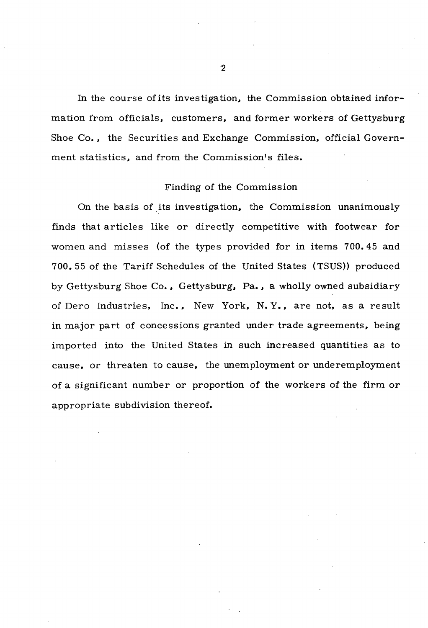In the course of its investigation, the Commission obtained information from officials, customers, and former workers of Gettysburg Shoe *Co.,* the Securities and Exchange Commission, official Government statistics, and from the Commission's files.

#### Finding of the Commission

On the basis of its investigation, the Commission unanimously finds that articles like or directly competitive with footwear for women and misses (of the types provided for in items 700. 45 and 700. 55 of the Tariff Schedules of the United States (TSUS)) produced by Gettysburg Shoe Co. *,* Gettysburg, Pa. *,* a wholly owned subsidiary of Dero Industries, Inc., New York, N. *Y.,* are *not,* as a result in major part of concessions granted under trade agreements, being imported into the United States in such increased quantities as to cause, or threaten to cause, the unemployment or underemployment of a significant number or proportion of the workers of the firm or appropriate subdivision thereof.

2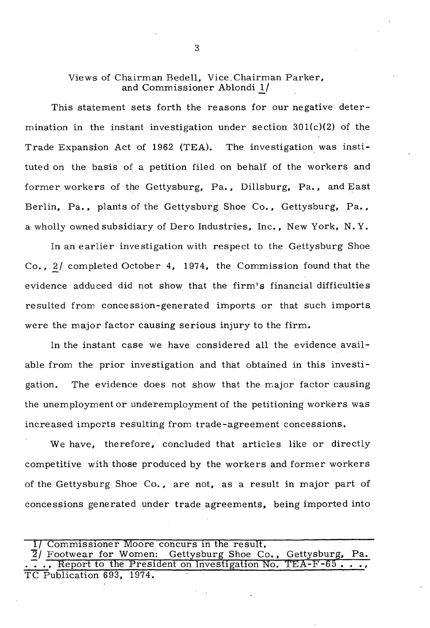### Views of Chairman Bedell, Vice. Chairman Parker, and Commissioner Ablondi 1/

This statement sets forth the reasons for our negative determination in the instant investigation under section  $301(c)(2)$  of the Trade Expansion Act of 1962 (TEA). The investigation\_ was instituted on the basis of a petition filed on behalf of the workers and former workers of the Gettysburg, Pa., Dillsburg, Pa., and East Berlin, Pa., plants of the Gettysburg Shoe Co., Gettysburg, Pa., a wholly owned subsidiary of Dero Industries, Inc., New York, N. Y.

In an earlier investigation with respect to the Gettysburg Shoe Co.,  $2/$  completed October 4, 1974, the Commission found that the evidence adduced did not show that the firm's financial difficulties resulted from concession-generated imports or that such imports were the major factor causing serious injury to the firm.

In the instant case we have considered all the evidence available from the prior investigation and that obtained in this investigation. The evidence does not show that the major factor causing the unemployment or underemployment of the petitioning workers was increased imports resulting from trade-agreement concessions.

We have, therefore, concluded that articles like or directly competitive with those produced by the workers and former workers of the Gettysburg Shoe Co., are not, as a result in major part of concessions generated under trade agreements, being imported into

| 17 Commissioner Moore concurs in the result.                            |  |  |  |
|-------------------------------------------------------------------------|--|--|--|
| $\overline{2}$ Footwear for Women: Gettysburg Shoe Co., Gettysburg, Pa. |  |  |  |
| , Report to the President on Investigation No. TEA-F-65                 |  |  |  |
| TC Publication 693, 1974.                                               |  |  |  |

3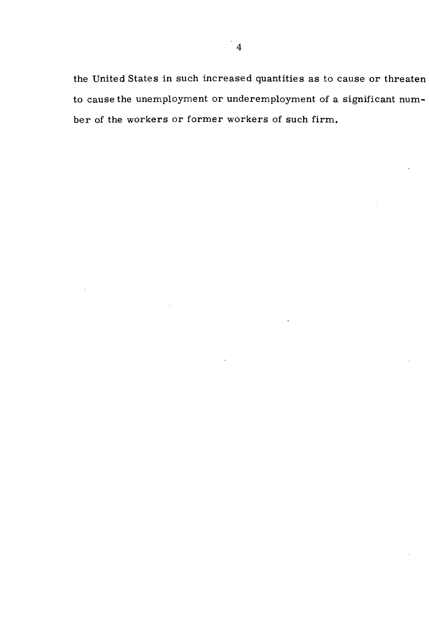the United States in such increased quantities as to cause or threaten to cause the unemployment or underemployment of a significant number of the workers or former workers of such firm.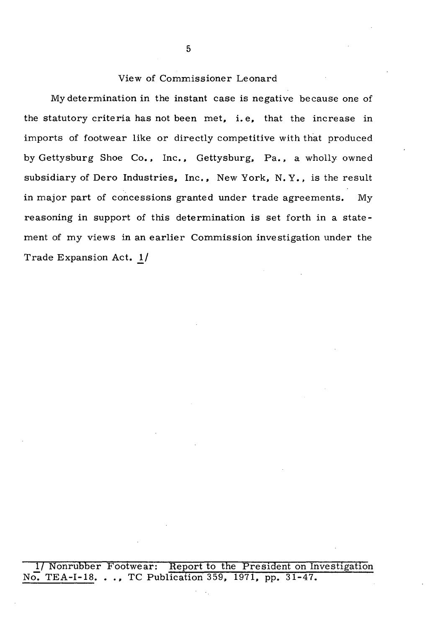## View of Commissioner Leonard

My determination in the instant case is negative because one of the statutory criteria has not been met, i. e, that the increase in imports of footwear like or directly competitive with that produced by Gettysburg Shoe Co., Inc., Gettysburg, Pa., a wholly owned subsidiary of Dero Industries, Inc., New York, N. *Y.,* is the result in major part of concessions granted under trade agreements. My reasoning in support of this determination is set forth in a state ment of my views in an earlier Commission investigation under the Trade Expansion Act. *]\_/*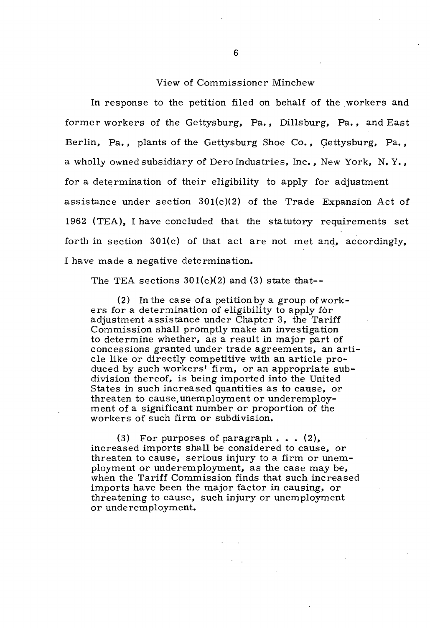#### View of Commissioner Minchew

In response to the petition filed on behalf of the workers and former workers of the Gettysburg, Pa., Dillsburg, Pa., and East Berlin, Pa., plants of the Gettysburg Shoe Co., Qettysburg, Pa., a wholly owned subsidiary of Dero Industries, Inc., New York, N. Y., for a determination of their eligibility to apply for adjustment assistance under section  $301(c)(2)$  of the Trade Expansion Act of 1962 (TEA), I have concluded that the statutory requirements set forth in section 301(c) of that act are not met and, accordingly, I have made a negative determination.

The TEA sections 301(c)(2) and (3) state that--

(2) In the case ofa petition by a group of workers for a determination of eligibility to apply for adjustment assistance under Chapter 3, the Tariff Commission shall promptly make an investigation to determine whether, as a result in major part of concessions granted under trade agreements, an article like or directly competitive with an article produced by such workers' firm, or an appropriate subdivision thereof, is being imported into the United States in such increased quantities as to cause, or threaten to cause, unemployment or underemployment of a significant number or proportion of the workers of such firm or subdivision.

(3) For purposes of paragraph...  $(2)$ , increased imports shall be considered to cause, or threaten to cause, serious injury to a firm or unemployment or underemployment, as the case may be, when the Tariff Commission finds that such increased imports have been the major factor in causing, or threatening to cause, such injury or unemployment or underemployment.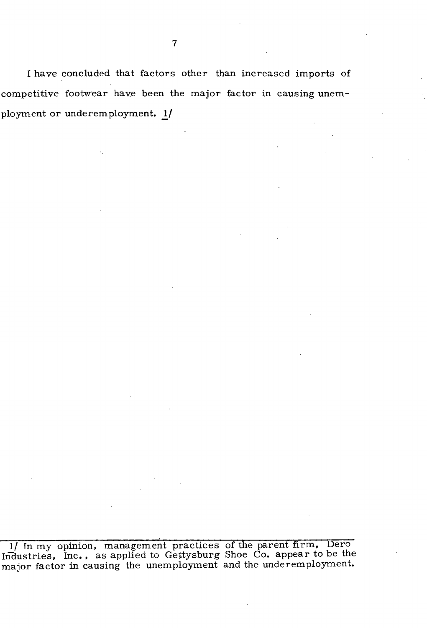I have concluded that factors other than increased imports of competitive footwear have been the major factor in causing unemployment or underemployment. 1/

1/ In my opinion, management practices of the parent firm, Dero Industries, Inc., as applied to Gettysburg Shoe Co. appear to be the major factor in causing the unemployment and the underemployment.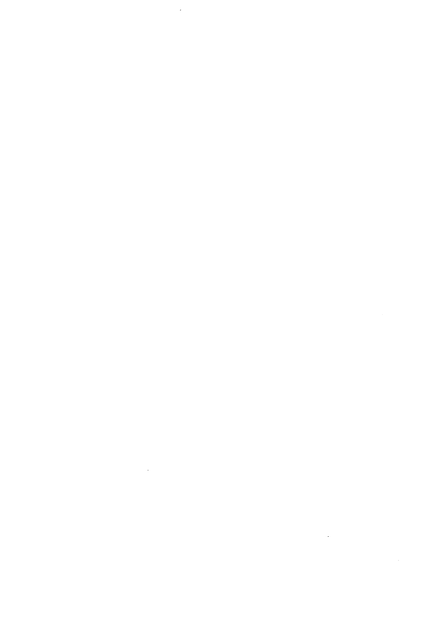$\frac{1}{2} \sum_{i=1}^{n} \frac{1}{i} \sum_{j=1}^{n} \frac{1}{j} \sum_{j=1}^{n} \frac{1}{j} \sum_{j=1}^{n} \frac{1}{j} \sum_{j=1}^{n} \frac{1}{j} \sum_{j=1}^{n} \frac{1}{j} \sum_{j=1}^{n} \frac{1}{j} \sum_{j=1}^{n} \frac{1}{j} \sum_{j=1}^{n} \frac{1}{j} \sum_{j=1}^{n} \frac{1}{j} \sum_{j=1}^{n} \frac{1}{j} \sum_{j=1}^{n} \frac{1}{j} \sum_{j=1}^{n$  $\label{eq:2.1} \frac{1}{\sqrt{2}}\left(\frac{1}{\sqrt{2}}\right)^{2} \left(\frac{1}{\sqrt{2}}\right)^{2} \left(\frac{1}{\sqrt{2}}\right)^{2} \left(\frac{1}{\sqrt{2}}\right)^{2} \left(\frac{1}{\sqrt{2}}\right)^{2} \left(\frac{1}{\sqrt{2}}\right)^{2} \left(\frac{1}{\sqrt{2}}\right)^{2} \left(\frac{1}{\sqrt{2}}\right)^{2} \left(\frac{1}{\sqrt{2}}\right)^{2} \left(\frac{1}{\sqrt{2}}\right)^{2} \left(\frac{1}{\sqrt{2}}\right)^{2} \left(\$  $\label{eq:2.1} \frac{1}{\sqrt{2}}\int_{\mathbb{R}^3}\frac{1}{\sqrt{2}}\left(\frac{1}{\sqrt{2}}\right)^2\frac{1}{\sqrt{2}}\left(\frac{1}{\sqrt{2}}\right)^2\frac{1}{\sqrt{2}}\left(\frac{1}{\sqrt{2}}\right)^2\frac{1}{\sqrt{2}}\left(\frac{1}{\sqrt{2}}\right)^2.$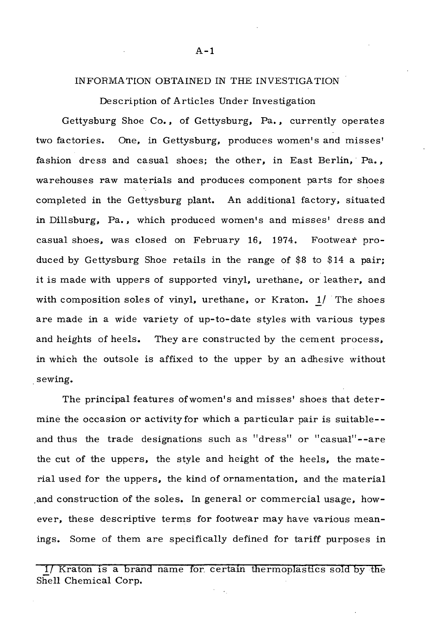## INFORMATION OBTAINED IN THE INVESTIGATION

Description of Articles Under Investigation

Gettysburg Shoe Co., of Gettysburg, Pa., currently operates two factories. One, in Gettysburg, produces women's and misses' fashion dress and casual shoes; the other, in East Berlin, Pa., warehouses raw materials and produces component parts for shoes completed in the Gettysburg plant. An additional factory, situated in Dillsburg, Pa., which produced women's and misses' dress and casual shoes, was closed on February 16, 1974. Footwear produced by Gettysburg Shoe retails in the range of \$8 to \$14 a pair; it is made with uppers of supported vinyl, urethane, or leather, and with composition soles of vinyl, urethane, or Kraton. 1/ The shoes are made in a wide variety of up-to-date styles with various types and heights of heels. They are constructed by the cement process, in which the outsole is affixed to the upper by an adhesive without . sewing.

The principal features ofwomen's and misses' shoes that determine the occasion or activity for which a particular pair is suitable- and thus the trade designations such as "dress" or "casual"--are the cut of the uppers, the style and height of the heels, the material used for the uppers, the kind of ornamentation, and the material .and construction of the soles. In general or commercial usage, however, these descriptive terms for footwear may have various meanings. Some of them are specifically defined for tariff purposes in

#### $A-1$

<sup>1/</sup> Kraton is a brand name for. certain thermoplastics sold by the Shell Chemical Corp.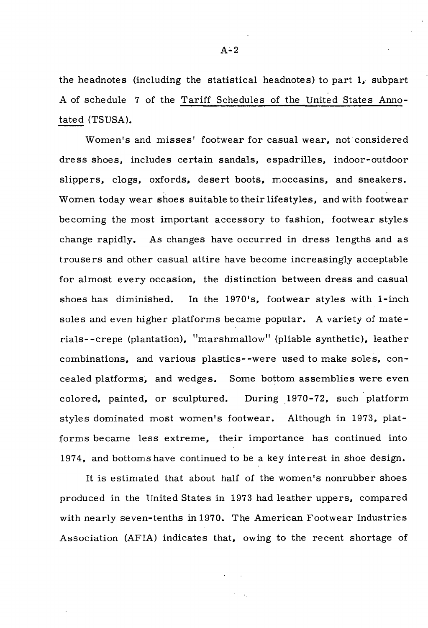the headnotes (including the statistical headnotes) to part 1, subpart A of schedule 7 of the Tariff Schedules of the United States Annotated (TSUSA).

Women's and misses' footwear for casual wear, not considered dress shoes, includes certain sandals, espadrilles, indoor-outdoor slippers, clogs. oxfords, desert boots, moccasins, and sneakers. Women today wear shoes suitable to their lifestyles, and with footwear becoming the most important accessory to fashion, footwear styles change rapidly. As changes have occurred in dress lengths and as trousers and other casual attire have become increasingly acceptable for almost every occasion, the distinction between dress and casual shoes has diminished. In the 1970's, footwear styles with 1-inch soles and even higher platforms became popular. A variety of materials- -crepe (plantation), "marshmallow" (pliable synthetic), leather combinations, and various plastics--were used to make soles, concealed platforms, and wedges. Some bottom assemblies were even colored, painted, or sculptured. During 1970-72, such platform styles dominated most women's footwear. Although in 1973, platforms became less extreme, their importance has continued into 1974, and bottoms have continued to be a key interest in shoe design.

It is estimated that about half of the women's nonrubber shoes produced in the United States in 1973 had leather uppers, compared with nearly seven-tenths in 1970. The American Footwear Industries Association (AFIA) indicates that, owing to the recent shortage of

 $A-2$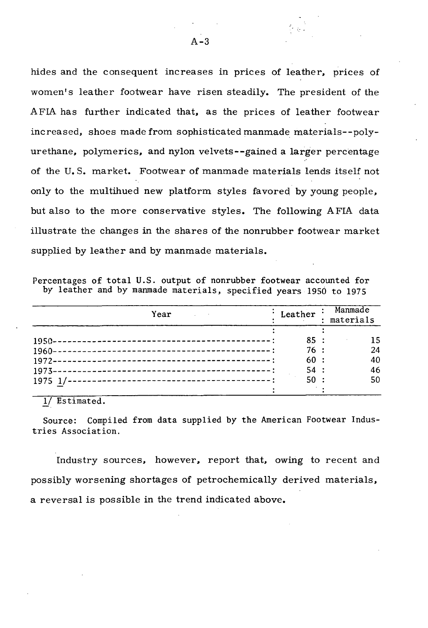hides and the consequent increases in prices of leather, prices of women's leather footwear have risen steadily. The president of the AFIA has further indicated that, as the prices of leather footwear increased, shoes made from sophisticated manmade materials--polyurethane, polymerics, and nylon velvets--gained a larger percentage of the U.S. market. Footwear of manmade materials lends itself not only to the multihued new platform styles favored by young people, but also to the more conservative styles. The following AFIA data illustrate the changes in the shares of the nonrubber footwear market supplied by leather and by manmade materials.

Percentages of total U.S. output of nonrubber footwear accounted for by leather and by manrnade materials, specified years 1950 to 1975

| Year<br><b>Contract Contract</b> | Leather | Manmade<br>materials |
|----------------------------------|---------|----------------------|
|                                  |         |                      |
|                                  | 85:     | 15                   |
|                                  | 76:     | 24                   |
|                                  | 60:     | 40                   |
|                                  | 54:     | 46                   |
|                                  | 50:     | 50                   |
|                                  |         |                      |

1/ Estimated.

Source: Compiled from data supplied by the American Footwear Industries Association.

Industry sources, however, report that, owing to recent and possibly worsening shortages of petrochemically derived materials, a reversal is possible in the trend indicated above.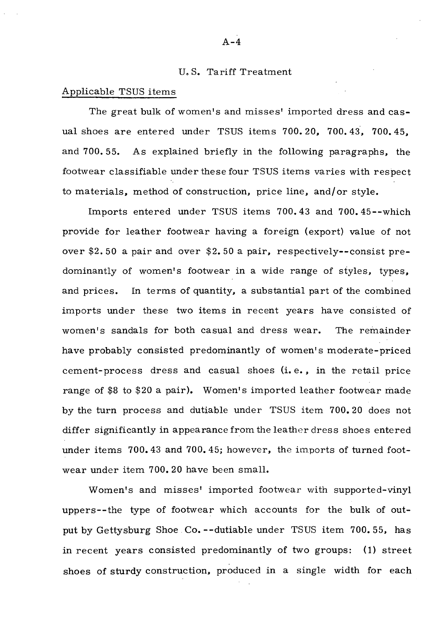#### U.S. Tariff Treatment

# Applicable TSUS items

The great bulk of women's and misses' imported dress and casual shoes are entered under TSUS items 700. 20, 700. *43,* 700. 45, and 700. 55. As explained briefly in the following paragraphs, the footwear classifiable under these four TSUS items varies with respect to materials, method of construction, price line, and/ or style.

Imports entered under TSUS items 700. 43 and 700. 45--which provide for leather footwear having a foreign (export) value of not over \$2. 50 a pair and over \$2. 50 a pair, respectively--consist predominantly of women's footwear in a wide range of styles, types, and prices. In terms of quantity, a substantial part of the combined imports under these two items in recent years have consisted of women's sandals for both casual and dress wear. The remainder have probably consisted predominantly of women's moderate-priced cement-process dress and casual shoes (i.e., in the retail price range of \$8 to \$20 a pair). Women's imported leather footwear made by the turn process and dutiable under TSUS item 700. 20 does not differ significantly in appearance from the leather dress shoes entered under items 700.43 and 700.45; however, the imports of turned footwear under item 700. 20 have been small.

Women's and misses' imported footwear with supported-vinyl uppers--the type of footwear which accounts for the bulk of output by Gettysburg Shoe Co. --dutiable under TSUS item 700. 55, has in recent years consisted predominantly of two groups: ( 1) street shoes of sturdy construction. produced in a single width for each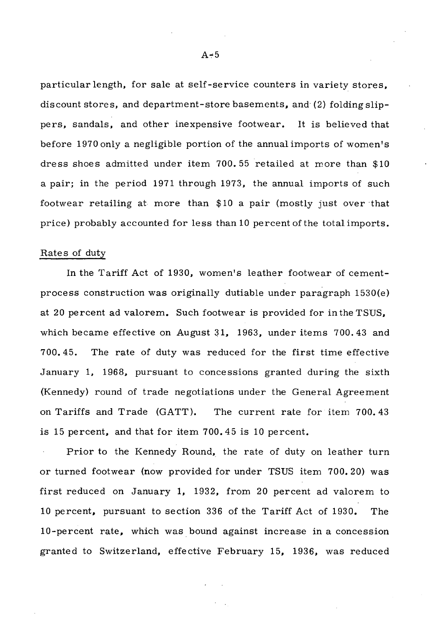particular length, for sale at self-service counters in variety stores, discount stores, and department-store basements, and· (2) folding slippers, sandals. and other inexpensive footwear. It is believed that before 1970 only a negligible portion of the annual imports of women's dress shoes admitted under item 700. 55 retailed at more than \$10 a pair; in the period 1971 through 1973, the annual imports of such footwear retailing at more than \$10 a pair (mostly just over that price) probably accounted for less than 10 percent of the total imports.

## Rates of duty

In the Tariff Act of 1930, women's leather footwear of cementprocess construction was originally dutiable under paragraph 1530(e) at 20 percent ad valorem. Such footwear is provided for in the TSUS, which became effective on August 31, 1963, under items 700. 43 and 700. 45. The rate of duty was reduced for the first time effective January 1, 1968, pursuant to concessions granted during the sixth (Kennedy) round of trade negotiations under the General Agreement on Tariffs and Trade (GATT). The current rate for item 700. 43 is 15 percent, and that for item 700. 45 is 10 percent.

Prior to the Kennedy Round, the rate of duty on leather turn or turned footwear (now provided for under TSUS item 700. 20) was first reduced on January 1, 1932, from 20 percent ad valorem to 10 percent, pursuant to section 336 of the Tariff Act of 1930. The 10-percent rate, which was. bound against increase in a concession granted to Switzerland, effective February 15, 1936, was reduced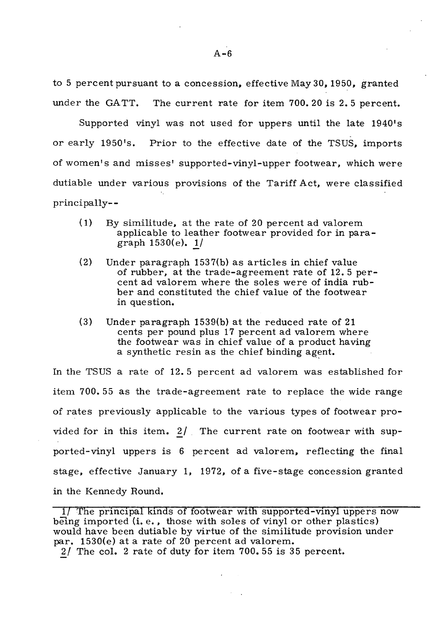to 5 percent pursuant to a concession, effective May *30,* 1950, granted under the GATT. The current rate for item 700.20 is 2.5 percent.

Supported vinyl was not used for uppers until the late 1940's or early 1950's. Prior to the effective date of the TSUS, imports of women's and misses' supported-vinyl-upper footwear, which were dutiable under various provisions of the Tariff Act, were classified principally--

- ( 1) By similitude, at the rate of 20 percent ad valorem applicable to leather footwear provided for in paragraph  $1530(e)$ . 1/
- (2) Under paragraph 1537(b) as articles in chief value of rubber, at the trade-agreement rate of 12. 5 percent ad valorem where the soles were of india rubber and constituted the chief value of the footwear in question.
- (3) Under paragraph 1539(b) at the reduced rate of 21 cents per pound plus 17 percent ad valorem where the footwear was in chief value of a product having a synthetic resin as the chief binding agent.

In the TSUS a rate of 12. 5 percent ad valorem was established for item 700. 55 as the trade-agreement rate to replace the wide range of rates previously applicable to the various types of footwear provided for in this item. 2/ The current rate on footwear with supported-vinyl uppers is 6 percent ad valorem, reflecting the final stage, effective January 1, 1972, of a five-stage concession granted in the Kennedy Round.

<sup>1/</sup> The principal kinds of footwear with supported-vinyl uppers now being imported (i.e., those with soles of vinyl or other plastics) would have been dutiable by virtue of the similitude provision under par. 1530(e) at a rate of 20 percent ad valorem.

<sup>2/</sup> The col. 2 rate of duty for item 700. 55 is 35 percent.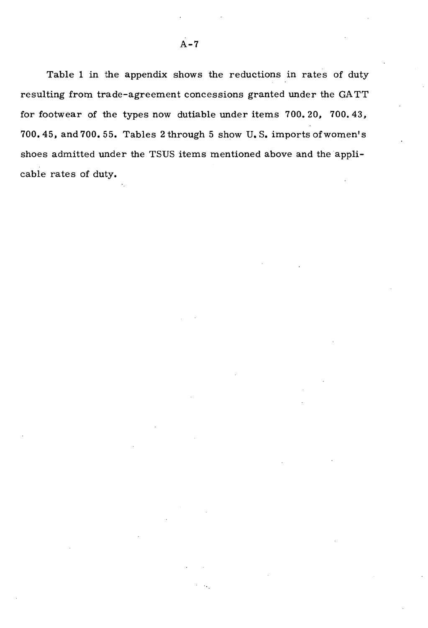Table 1 in the appendix shows the reductions in rates of duty resulting from trade-agreement concessions granted under the GA TT for footwear of the types now dutiable under items 700. 20, 700. 43, 700. 45, and 700. 55. Tables 2 through 5 show U.S. imports of women's shoes admitted under the TSUS items mentioned above and the applicable rates of duty.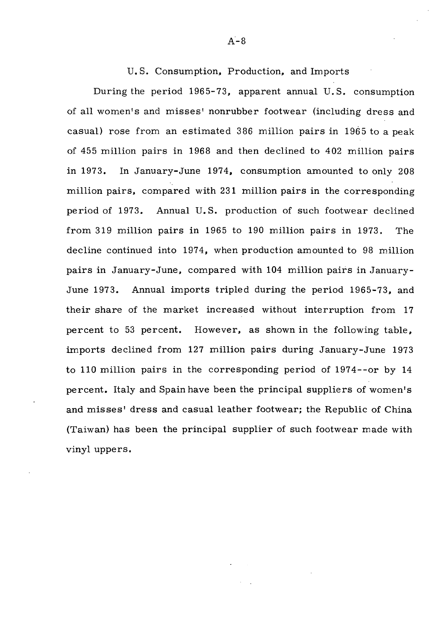#### U.S. Consumption. Production. and Imports

During the period 1965-73, apparent annual U.S. consumption of all women's and misses' nonrubber footwear (including dress and casual) rose from an estimated 386 million pairs in 1965 to a peak of 455 million pairs in 1968 and then declined to 402 million pairs in 1973. In January-June 1974, consumption amounted to only 208 million pairs, compared with 231 million pairs in the corresponding period of 1973. Annual U.S. production of such footwear declined from 319 million pairs in 1965 to 190 million pairs in 1973. The decline continued into 1974, when production amounted to 98 million pairs in January-June, compared with 104 million pairs in January-June 1973. Annual imports tripled during the period 1965-73, and their share of the market increased without interruption from 17 percent to 53 percent. However, as shown in the following table, imports declined from 127 million pairs during January-June 1973 to 110 million pairs in the corresponding period of 1974--or by 14 percent. Italy and Spain have been the principal suppliers of women's and misses' dress and casual leather footwear; the Republic of China (Taiwan) has been the principal supplier of such footwear made with vinyl uppers.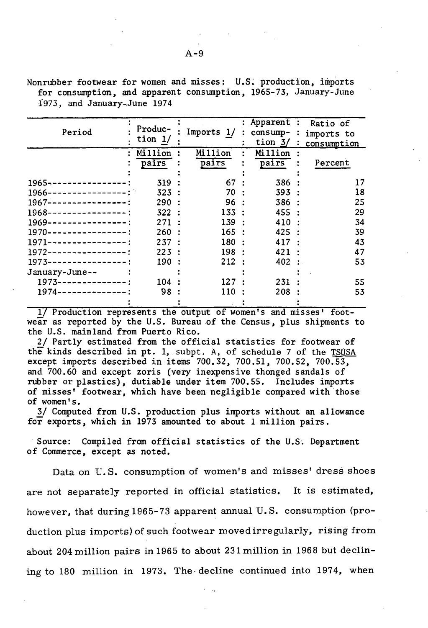Nonrubber footwear for women and misses: U.S. production, imports for consumption, and apparent consumption, 1965-73, January-June i973, and January-.June 1974

|                                    |         |            |                | : Apparent : |              | Ratio of    |
|------------------------------------|---------|------------|----------------|--------------|--------------|-------------|
| Period                             | Produc- | Imports 1/ |                | consump-     |              | imports to  |
|                                    | tion 1/ |            |                | tion $3/$    |              | consumption |
| ٠                                  | Million | Million    | $\ddot{\cdot}$ | Million      |              |             |
|                                    | pairs   | pairs      |                | pairs        |              | Percent     |
|                                    |         |            |                |              |              |             |
| $1965 - -$                         | 319     | 67         |                | 386          |              | 17          |
| 1966-<br>--------------            | 323     | 70         |                | 393          |              | 18          |
| 1967-----------------              | 290     | 96         |                | 386          |              | 25          |
| 1968-----------------              | 322     | 133        |                | 455          |              | 29          |
| 1969-----------------              | 271     | 139        |                | 410          |              | 34          |
| $1970 - - - - - - - - - - - -$ :   | 260     | 165        | $\cdot$        | 425          | $\cdot$ .    | 39          |
| 1971-----------------:             | 237     | 180        |                | 417          | $\cdot$      | 43          |
| $1972 - - - - - - - - - - - - -$ : | 223:    | 198        |                | 421          | $\cdot$ .    | 47          |
| $1973 - - - - - - - - - - - - -$   | 190     | 212        |                | 402          | $\mathbb{R}$ | 53          |
| January-June--                     |         |            |                |              |              |             |
| $1973 - -$<br>------------         | 104     | 127        |                | 231          |              | 55          |
| $1974 - -$<br>------------         | 98      | 110        |                | 208          |              | 53          |
|                                    |         |            |                |              |              |             |

1/ Production represents the output of women's and misses' footwear as reported by the U.S. Bureau of the Census, plus shipments to the U.S. mainland from Puerto Rico.

2/ Partly estimated from the official statistics for footwear of the kinds described in pt. 1, subpt. A, of schedule 7 of the TSUSA except imports described in items 700.32, 700.51, 700.52, 700.53, and 700.60 and except zoris (very inexpensive thonged sandals of rubber or plastics), dutiable under item 700.55. Includes imports of misses' footwear, which have been negligible compared with those of women's.

3/ Computed from U.S. production plus imports without an allowance for exports, which in 1973 amounted to about 1 million pairs.

Source: Compiled from official statistics of the U.S. Department of Commerce, except as noted.

Data on U.S. consumption of women's and misses' dress shoes are not separately reported in official statistics. It is estimated, however, that during 1965-73 apparent annual U.S. consumption (production plus imports) of such footwear movedirregularly, rising from about 204 million pairs in 1965 to about 231 million in 1968 but declining to 180 million in 1973. The· decline continued into 1974, when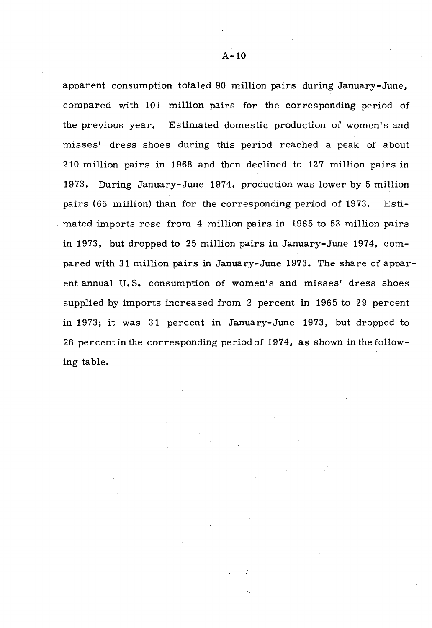apparent consumption totaled 90 million pairs during January-June, compared with 101 million pairs for the corresponding period of the previous year. Estimated domestic production of women's and misses' dress shoes during this period. reached a peak of about 210 million pairs in 1968 and then declined to 127 million pairs in 1973. During January-June 1974, production was lower by 5 million pairs (65 million) than for the corresponding period of 1973. Estimated imports rose from 4 million pairs in 1965 to 53 million pairs in 1973, but dropped to 25 million pairs in January-June 1974, compared with 31 million pairs in January-June 1973. The share of apparent annual U.S. consumption of women's and misses' dress shoes supplied by imports increased from 2 percent in 1965 to 29 percent in 1973; it was 31 percent in January-June 1973, but dropped to 28 percent in the corresponding period of 1974, as shown in the following table.

 $A - 10$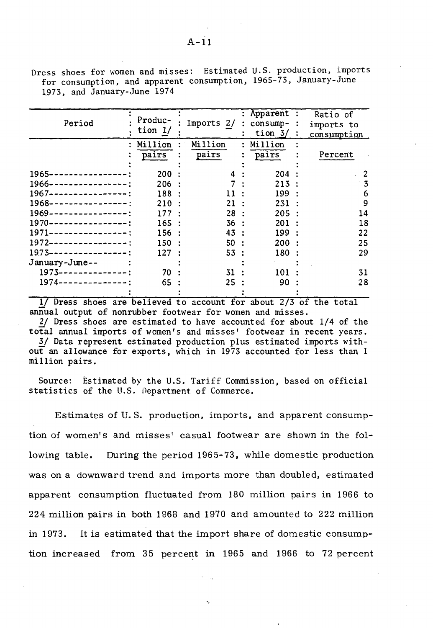Dress shoes for women and misses: Estimated U.S. production, imports for consumption, and apparent consumption, 1965-73, January-June 1973, and January-June 1974

| Period                             | Produc-<br>tion 1/ | Imports 2/ |                | : Apparent :<br>consump- | Ratio of<br>imports to |
|------------------------------------|--------------------|------------|----------------|--------------------------|------------------------|
|                                    |                    |            |                | tion $3/$                | <u>consumption</u>     |
|                                    | Million            | Million    | $\ddot{\cdot}$ | Million                  |                        |
|                                    | pairs              | pairs      |                | pairs                    | Percent                |
|                                    |                    |            |                |                          |                        |
| $1965 - -$                         | 200:               | 4          |                | 204                      | 2                      |
| 1966----------------               | 206:               |            |                | 213                      | 3                      |
| $1967$ ----------------            | 188                | 11         |                | 199                      | 6                      |
| $1968$ ----------------            | 210                | 21         |                | 231                      | 9                      |
| $1969$ ----------------:           | 177                | 28         |                | 205:                     | 14                     |
| $1970 - - - - - - - - - - - - -$   | 165:               | 36 :       |                | 201                      | 18                     |
| 1971<br>-------------              | 156:               | 43         |                | 199                      | 22                     |
| $1972 -$<br>--------------         | 150                | 50         |                | 200                      | 25                     |
| $1973 - - - - - - - - - - - - - -$ | 127                | 53 :       |                | 180                      | 29                     |
| January-June--                     |                    |            |                |                          |                        |
| $1973 - - - - - - - - - - -$       | 70                 | 31         |                | 101                      | 31                     |
| 1974-------------                  | 65                 | 25         |                | 90                       | 28                     |
|                                    |                    |            |                |                          |                        |

1/ Dress shoes are believed to account for about 2/3 of the total annual output of nonrubber footwear for women and misses.

2/ Dress shoes are estimated to have accounted for about 1/4 of the total annual imports of women's and misses' footwear in recent years. 3/ Data represent estimated production plus estimated imports without an allowance for exports, which in 1973 accounted for less than 1 million pairs.

Source: Estimated by the U.S. Tariff Commission, based on official statistics of the U.S. Department of Commerce.

Estimates of U.S. production, imports, and apparent consumption of women's and misses' casual footwear are shown in the following table. During the period 1965-73, while domestic production was on a downward trend and imports more than doubled, estimated apparent consumption fluctuated from 180 million pairs in 1966 to 224 million pairs in both 1968 and 1970 and amounted to 222 million in 1973. It is estimated that the import share of domestic consumption increased from  $35$  percent in 1965 and 1966 to 72 percent

•,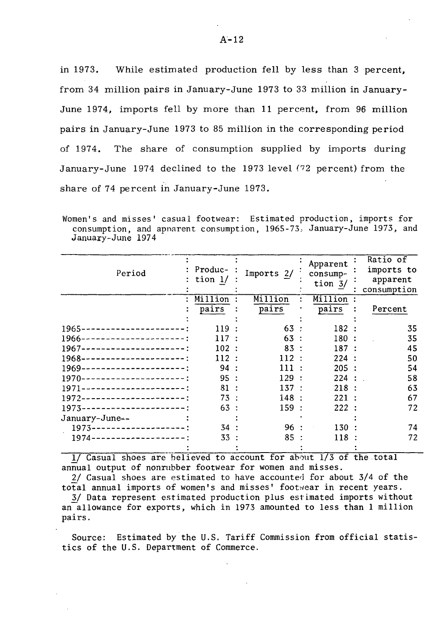in 1973. While estimated production fell by less than 3 percent, from 34 million pairs in January-June 1973 to 33 million in January-June 1974, imports fell by more than 11 percent, from 96 million pairs in January-June 1973 to 85 million in the corresponding period of 1974. The share of consumption supplied by imports during January-June 1974 declined to the 1973 level (72 percent) from the share of 74 percent in January-June 1973.

Women's and misses' casual footwear: Estimated production, imports for consumption, and apnarent consumption, 1965-73, January-June 1973, and January-June 1974

| Period                                     | Produc- :<br>tion $1/$ | Imports 2/ | Apparent<br>consump-<br>tion $3/$ | Ratio of<br>imports to<br>apparent<br>consumption |
|--------------------------------------------|------------------------|------------|-----------------------------------|---------------------------------------------------|
| $\ddot{\phantom{a}}$                       | Million                | Million    | Million                           |                                                   |
|                                            | pairs                  | pairs      | pairs                             | Percent                                           |
|                                            |                        |            |                                   |                                                   |
| 1965-<br>-------------------               | 119:                   | 63:        | 182                               | 35                                                |
| 1966-<br>--------------------              | 117:                   | 63:        | 180                               | 35                                                |
| $1967 - -$<br>------------------- <b>:</b> | 102:                   | 83:        | 187:                              | 45                                                |
| 1968-<br>------------------                | 112:                   | 112        | 224                               | 50                                                |
| 1969-<br>-----------------                 | 94:                    | 111        | 205                               | 54                                                |
| $1970-$<br>-----------------               | 95:                    | 129        | 224                               | 58                                                |
| $1971 -$<br>_____________________          | 81                     | 137        | 218                               | 63                                                |
| 1972-<br>-------------------- <b>:</b>     | 73:                    | 148:       | 221                               | 67                                                |
| $1973-$<br>-------------------             | 63:                    | 159:       | 222:                              | 72                                                |
| January-June--                             |                        |            |                                   |                                                   |
| 1973--------------------                   | 34:                    | 96 :       | 130                               | 74                                                |
| 1974-                                      | 33 :                   | 85:        | 118                               | 72                                                |
|                                            |                        |            |                                   |                                                   |

 $1/$  Casual shoes are believed to account for about  $1/3$  of the total annual output of nonrubber footwear for women and misses.

 $2/$  Casual shoes are estimated to have accounted for about  $3/4$  of the total annual imports of women's and misses' footivear in recent years.

3/ Data represent estimated production plus estimated imports without an-allowance for exports, which in 1973 amounted to less than 1 million pairs.

Source: Estimated by the U.S. Tariff Commission from official statistics of the U.S. Department of Commerce.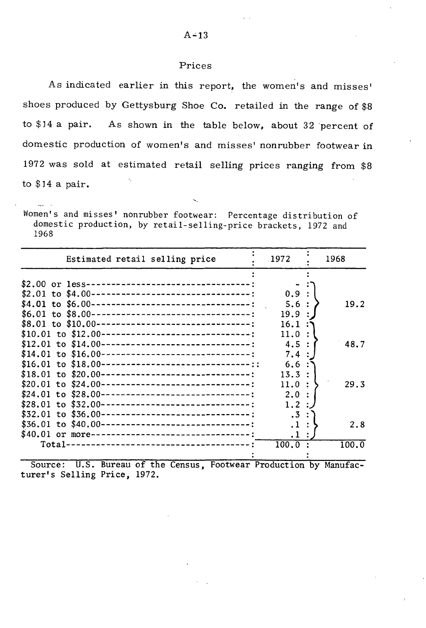#### Prices

As indicated earlier in this report, the women's and misses' shoes produced by Gettysburg Shoe Co. retailed in the range of \$8 to \$14 a pair. As shown in the table below, about 32 percent of domestic production of women's and misses' nonrubber footwear in 1972 was sold at estimated retail selling prices ranging from \$8 to  $$14$  a pair.

Women's and misses' nonrubber footwear: Percentage distribution of domestic production, by retail-selling-price brackets, 1972 and 1968

| Estimated retail selling price                                                                                                                                                                                            | .1972                                 | 1968  |
|---------------------------------------------------------------------------------------------------------------------------------------------------------------------------------------------------------------------------|---------------------------------------|-------|
| \$2,00 or less----------------------------------:<br>\$4.01 to \$6.00----------------------------------:<br>$$8,01$ to $$10,00$ ---------------------------------;                                                        | 0.9:<br>5.6:<br>19.9:<br>$16.1$ :     | 19.2  |
| \$10.01 to \$12.00--------------------------------:<br>\$12.01 to \$14.00---------------------------------;<br>\$14.01 to \$16.00----------------------------------<br>\$16.01 to \$18.00-------------------------------; | $11.0$ :<br>4.5:<br>7.4 :<br>6.6:     | 48.7  |
| $$20.01$ to $$24.00$ --------------------------------:<br>\$24.01 to \$28.00--------------------------------:<br>\$28.01 to \$32.00-------------------------------:                                                       | 13.3 :<br>$11.0$ :<br>2.0:<br>$1.2$ : | 29.3  |
| \$32.01 to \$36.00--------------------------------:<br>$$36.01$ to $$40.00$ ---------------------------------<br>\$40.01 or more----------------------------------:                                                       | $.3$ :<br>$.1$ :<br>.1 : .            | 2.8   |
|                                                                                                                                                                                                                           | 100.0                                 | 100.0 |

Source: U.S. Bureau of the Census, Footwear Production by Manufacturer's Selling Price, 1972.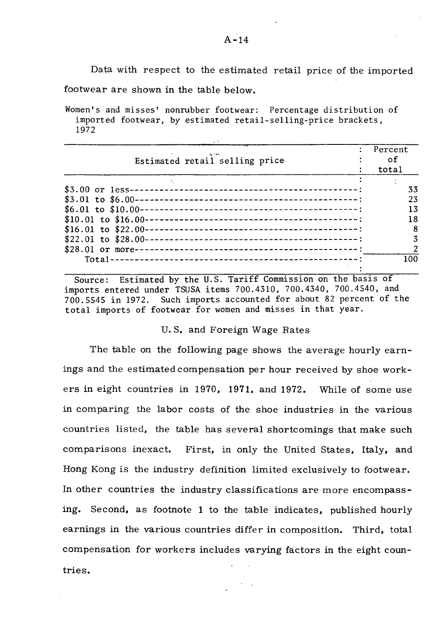Data with respect to the estimated retail price of the imported footwear are shown in the table below.

Women's and misses' nonrubber footwear: Percentage distribution of imported footwear, by estimated retail-selling-price brackets, 1972

|                                | Percent |
|--------------------------------|---------|
| Estimated retail selling price | οf      |
|                                | total   |
|                                |         |
|                                | 33      |
|                                | 23      |
|                                |         |
| $$10.01$ to $$16.00--$         | 18      |
|                                |         |
|                                |         |
|                                |         |
|                                | 100     |
|                                |         |

Source: Estimated by the U.S. Tariff Commission on the basis of imports entered under TSUSA items 700.4310, 700.4340, 700.4540, and 700.5545 in 1972. Such imports accounted for about 82 percent of the total imports of footwear for women and misses in that year.

#### U.S. and Foreign Wage Rates

The table on the following page shows the average hourly earnings and the estimated compensation per hour received by shoe workers in eight countries in 1970, 1971, and 1972. While of some use in comparing the labor costs of the shoe industries in the various countries listed, the table has several shortcomings that make such comparisons inexact. First, in only the United States, Italy, and Hong Kong is the industry definition limited exclusively to footwear. In other countries the industry classifications are more encompassing. Second, as footnote 1 to the table indicates, published hourly earnings in the various countries differ in composition. Third, total compensation for workers includes varying factors in the eight countries.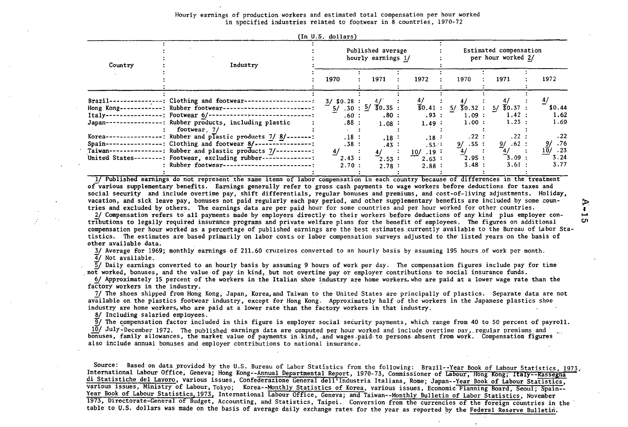| Hourly earnings of production workers and estimated total compensation per hour worked |                                                                     |  |  |  |
|----------------------------------------------------------------------------------------|---------------------------------------------------------------------|--|--|--|
|                                                                                        | in specified industries related to footwear in 8 countries, 1970-72 |  |  |  |

|             |                                                                  | $\cdots$ $\cdots$                       |  |                     |                     |                                              |                        |            |
|-------------|------------------------------------------------------------------|-----------------------------------------|--|---------------------|---------------------|----------------------------------------------|------------------------|------------|
| Country     | Industry                                                         | Published average<br>hourly earnings 1/ |  |                     |                     | Estimated compensation<br>per hour worked 2/ |                        |            |
|             |                                                                  | 1970                                    |  | 1971                | 1972                | 1970                                         | 1971                   | 1972       |
| Brazil--    | -: Clothing and footwear--                                       | $3/$ \$0.28 :                           |  | $4/\sqrt{2}$        | 4/                  |                                              |                        |            |
| Hong Kong-- | ----------: Rubber footwear--                                    | 57                                      |  | $.30 : 5/$ \$0.35 : | $\sqrt{60.41}$ : 5/ | \$0.32:                                      | $\sqrt{50.37}$ :<br>5/ | \$0.44     |
| $Italy--$   | ---------: Footwear 6/------------------------------             | .60:                                    |  | .80:                | .93:                | 1.09:                                        | 1.42:                  | 1.62       |
| Japan--     | -------: Rubber products, including plastic                      | .88:                                    |  | 1.08:               | 1.49:               | 1.00:                                        | 1.23 :                 | 1.69       |
|             | footwear 7/                                                      |                                         |  |                     |                     |                                              |                        |            |
| Korea--     | --: Rubber and plastic products 7/ 8/-------:                    | .18:                                    |  | .18:                | .18:                | .22:                                         | .22:                   | .22        |
| Spain---    | -----------: Clothing and footwear 8/----------------:           | .38:                                    |  | .43:                | $.53.$ :            | 9/ .55 :                                     | 9/ .62 :               | .76<br>9/  |
|             | Taiwan---------------: Rubber and plastic products 7/----------: | 4/                                      |  | 4/<br>- 11          | 10/<br>.19:         | 4/                                           | 4/                     | .23<br>10/ |
|             | United States--------: Footwear, excluding rubber--------------: | 2.43:                                   |  | $\frac{1}{2.53}$ :  | 2.63:               | $\frac{1}{2.95}$ :                           | 3.09:                  | 3.24       |
|             | : Rubber footwear-------------------------:                      | 2.70:                                   |  | 2.78:               | 2.88:               | 3.48:                                        | 3.61:                  | 3.77       |
|             |                                                                  |                                         |  |                     |                     |                                              |                        |            |

(In U.S. dollars)

1/ Published earnings do not represent the same items of labor compensation in each country because of differences in the treatment of-various supplementary benefits. Earnings generally refer to gross cash payments to wage workers before deductions for taxes and social security and include overtime pay, shift differentials, regular bonuses and premiums, and cost-of-living adjustments. Holiday, vacation, and sick leave pay, bonuses not paid regularly each pay period, and other supplementary benefits are included by some coun-

tries and excluded by others. The earnings data are per paid hour for some countries and per hour worked for other countries.<br>2/ Compensation refers to all payments made by employers directly to their workers before deduct tributions to legally required insurance programs and private welfare plans for the benefit of employees. The figures on additional<br>compensation per hour worked as a percentage of published earnings are the best estimates tistics. The estimates are based primarily on labor costs or labor compensation surveys adjusted to the listed years on the basis of<br>other available data.

 $3/$  Average for 1969; monthly earnings of 211.60 cruzeiros converted to an hourly basis by assuming 195 hours of work per month.

 $\frac{1}{4}$ / Not available.<br> $\overline{5}$ / Daily earnings converted to an hourly basis by assuming 9 hours of work per day. The compensation figures include pay for time not worked, bonuses, and the value of pay in kind, but not overtime pay or employer contributions to social insurance funds.

6/ Approximately 15 percent of the workers in the Italian shoe industry are home workers, who are paid at a lower wage rate than the factory workers in the industry.

7/ The shoes shipped from Hong Kong, Japan, Korea, and Taiwan to the United States are principally of plastics. Separate data are not available on the plastics footwear industry, except for Hong Kong. Approximately half of the workers in the Japanese plastics shoe industry are home workers, who are paid at a lower rate 'than the factory workers in that industry.

8/ Including salaried employees.

9/ The compensation factor included in· this figure is employer social security payments, which range from 40 to 50 percent of payroll.  $10/$  July-December 1972. The published earnings data are computed per hour worked and include overtime pay, regular premiums and bonuses, family allowances, the market value of payments in kind, and wages paid to persons absent from work. Compensation figures also include annual bonuses and employer contributions to national insurance.

Source: Based on data provided by the U.S. Bureau of Labor Statistics from the following: Brazil--Year Book of Labour Statistics, 1973, International Labour Office, Geneva; Hong Kong--Annual Departmental Report, 1970-73, Commissioner of Labour, Rong Kong; Italy--Rassegna di Statistiche del Lavoro, various issues, Confederazione General dell'Industria Italiana, Rome; Japan--Year Book of Labour Statistics, various issues, Ministry of Labour, Tokyo; Korea--Monthly Statistics of Korea, various issues, Economic Planning Board, Seoul; Spain-- Year Book of Labour Statistics, 1973, International Labour Office, Geneva; and Taiwan--Monthly Bulletin of Labor Statistics, November 1973, Directorate-General of Budget, Accounting, and Statistics, Taipei. Conversion from the currencies of the foreign countries in the table to U.S. dollars was made on the basis of average daily exchange rates for the year as reported by the Federal Reserve Bulletin.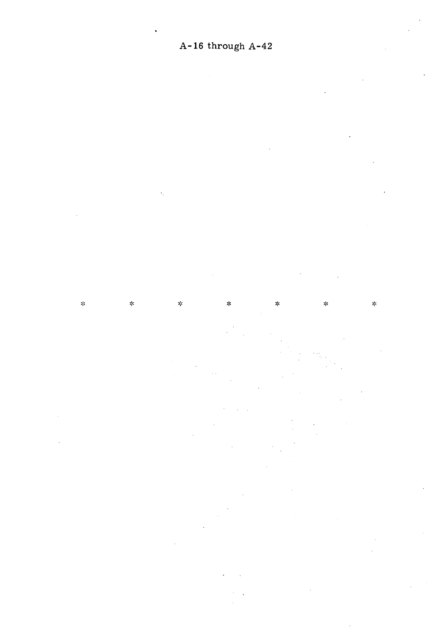$\mathbf{x}^{\mathrm{L}}_{\mathrm{K}}$  $\frac{1}{2} \xi$  $\mathbf{S}^{\dagger}_{\mathbf{S}}$  $\mathbf{r}$  $\star$  $\frac{1}{2}$ 

÷.

 $\frac{d}{dt}$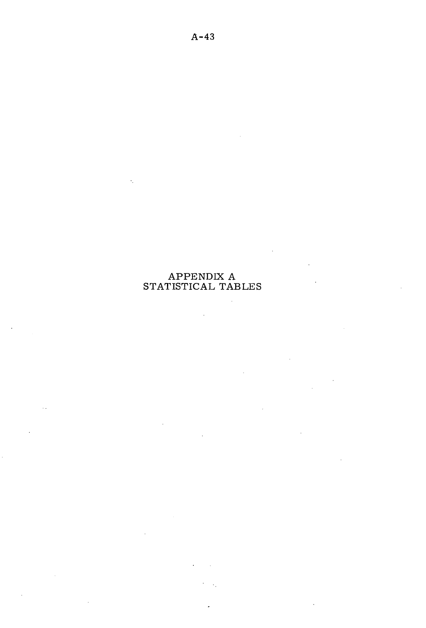# APPENDIX A STATISTICAL TABLES

 $\overline{\phantom{a}}$ 

 $\ddot{\phantom{a}}$ 

l.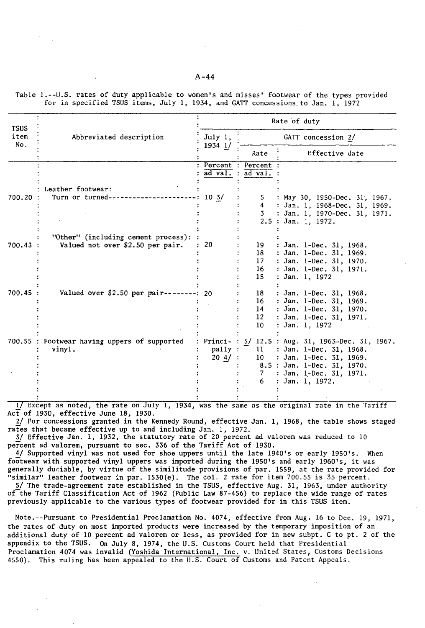1/ Except as noted, the rate on July 1, 1934, was the same as the original rate in the Tariff Act of 1930, effective June 18, 1930.

÷

2/ For concessions granted in the Kennedy Round, effective Jan. 1, 1968, the table shows staged rates that became effective up to and including Jan. 1, 1972.

3/ Effective Jan. 1, 1932, the statutory rate of 20 percent ad valorem was reduced to 10 percent ad valorem, pursuant to sec. 336 of the Tariff Act of 1930.

4/ Supported vinyl was not used for shoe uppers until the late 1940's or early 19SO's. When footwear with supported vinyl uppers was imported during the 19SO's and early 1960's, it was generally duriable, by virtue of the similitude provisions of par. 1559, at the rate provided for "similar" leather footwear in par. 1530(e). The col. 2 rate for item 700.55 is 35 percent.

5/ The trade-agreement rate established in the TSUS, effective Aug. 31, 1963, under authority of the Tariff Classification Act of 1962 (Public Law 87-456) to replace the wide range of rates previously applicable to the various types of footwear provided for in this TSUS item.

Note.--Pursuant to Presidential Proclamation No. 4074, effective from Aug. 16 to Dec. 19, 1971, the rates of duty on most imported products were increased by the temporary imposition of an additional duty of 10 percent ad valorem or less, as provided for in new subpt. C to pt. 2 of the appendix to the TSUS. On July 8, 1974, the U.S. Customs Court held that Presidential Proclamation 4074 was invalid (Yoshida International, Inc. v. United States, Customs Decisions 4550). This ruling has been appealed to the U.S. Court of Customs and Patent Appeals.

Table 1.--U.S. rates of duty applicable to women's and misses' footwear of the types provided for in specified TSUS items, July 1, 1934, and GATT concessions.to Jan. 1, 1972

| <b>TSUS</b> |                                                                         |                                           | Rate of duty                            |                                                                                                                                                                                   |  |  |  |  |
|-------------|-------------------------------------------------------------------------|-------------------------------------------|-----------------------------------------|-----------------------------------------------------------------------------------------------------------------------------------------------------------------------------------|--|--|--|--|
| item<br>No. | Abbreviated description                                                 | July 1,                                   | GATT concession 2/                      |                                                                                                                                                                                   |  |  |  |  |
|             |                                                                         | 1934 1/                                   | Rate                                    | Effective date                                                                                                                                                                    |  |  |  |  |
|             |                                                                         | Percent :<br>$\overline{ad \text{ val.}}$ | Percent<br>ad val.                      |                                                                                                                                                                                   |  |  |  |  |
| 700.20:     | Leather footwear:<br>Turn or turned-                                    | $10 \frac{3}{2}$                          | 5.<br>$\overline{4}$<br>3               | : May 30, 1950-Dec. 31, 1967.<br>: Jan. 1, 1968-Dec. 31, 1969.<br>: Jan. 1, 1970-Dec. 31, 1971.<br>2.5: Jan. 1, 1972.                                                             |  |  |  |  |
| 700.43      | "Other" (including cement process):<br>Valued not over \$2.50 per pair. | 20                                        | 19<br>18<br>17 <sup>2</sup><br>16<br>15 | : Jan. 1-Dec. 31, 1968.<br>: Jan. 1-Dec. 31, 1969.<br>: Jan. 1-Dec. 31, 1970.<br>: Jan. 1-Dec. 31, 1971.<br>: Jan. 1, 1972                                                        |  |  |  |  |
| 700.45:     | Valued over \$2.50 per pair-                                            | 20                                        | 18<br>16<br>14<br>12<br>10              | : Jan. 1-Dec. 31, 1968.<br>: Jan. 1-Dec. 31, 1969.<br>: Jan. 1-Dec. 31, 1970.<br>: Jan. 1-Dec. 31, 1971.<br>: Jan. 1, 1972                                                        |  |  |  |  |
|             | 700.55 : Footwear having uppers of supported<br>vinyl.                  | pally :<br>$20 \frac{4}{1}$ :             | 11<br>10<br>7<br>6                      | Princi-: 5/ 12.5: Aug. 31, 1963-Dec. 31, 1967.<br>: Jan. 1-Dec. 31, 1968.<br>: Jan. 1-Dec. 31, 1969.<br>8.5 : Jan. 1-Dec. 31, 1970.<br>: Jan. 1-Dec. 31, 1971.<br>: Jan. 1, 1972. |  |  |  |  |

A-44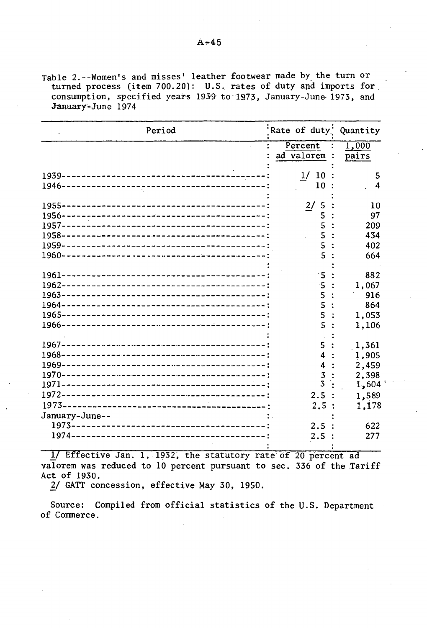Table 2.--Women's and misses' leather footwear made by\_ the turn or turned process (item 700.20): U.S. rates of duty and imports for. consumption, specified years 1939 to 1973, January-June 1973, and January-June 1974

| Period         | Rate of duty Quantity |                |
|----------------|-----------------------|----------------|
|                | Percent<br>ad valorem | 1,000<br>pairs |
|                |                       |                |
|                | 10<br>1/              | 5              |
|                | 10                    | 4              |
|                |                       | 10             |
|                | 2/<br>5<br>5          | 97             |
|                | 5                     | 209            |
|                | 5                     | 434            |
|                | 5                     | 402            |
|                | 5                     | 664            |
|                | ۰5                    | 882            |
|                | 5                     | 1,067          |
|                | 5                     | 916            |
|                | 5                     | 864            |
|                | 5<br>5                | 1,053          |
|                |                       | 1,106          |
|                | 5                     | 1,361          |
|                | 4                     | 1,905          |
|                | 4                     | 2,459          |
|                | $\frac{3}{3}$         | 2,398          |
|                | 2.5:                  | 1,604<br>1,589 |
|                | 2,5                   | 1,178          |
| January-June-- |                       |                |
|                | 2.5                   | 622            |
|                | 2.5                   | 277            |

1/ Effective Jan. 1, 1932, the statutory rate of 20 percent ad valorem was reduced to 10 percent pursuant to sec. 336 of the Tariff Act of 1930.

2/ GATT concession, effective May 30, 1950.

Source: Compiled from official statistics of the U.S. Department of Commerce.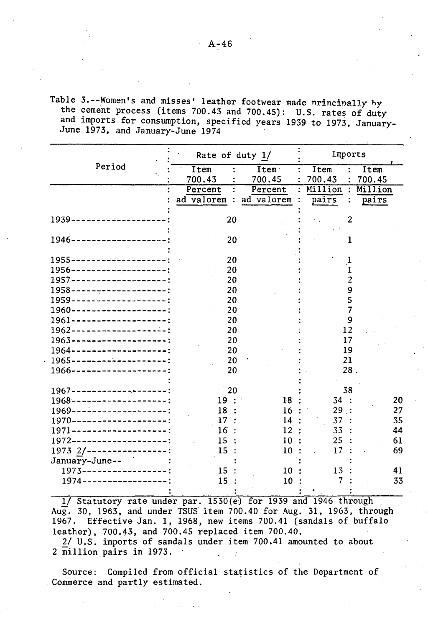| lable 5.--Women's and misses' leather footwear made principally by  |
|---------------------------------------------------------------------|
| the cement process (items 700.43 and 700.45): U.S. rates of duty    |
| and imports for consumption, specified years 1939 to 1973, January- |
| June 1973, and January-June 1974                                    |

|                                    | Rate of duty 1/ |            | Imports                                   |         |  |  |  |
|------------------------------------|-----------------|------------|-------------------------------------------|---------|--|--|--|
| Period                             | Item            | Item       | Item                                      | Item    |  |  |  |
|                                    | 700.43          | 700.45     | 700.43                                    | 700.45  |  |  |  |
|                                    | Percent         | Percent    | Million<br>$\ddot{\cdot}$<br>$\mathbf{r}$ | Million |  |  |  |
|                                    | ad valorem :    | ad valorem | pairs                                     | pairs   |  |  |  |
| 1939--------------------           | 20              |            | 2                                         |         |  |  |  |
| 1946--------------------:          | 20              |            | 1                                         |         |  |  |  |
| 1955----------------------         | 20              |            | 1                                         |         |  |  |  |
| 1956--------------------           | 20              |            |                                           |         |  |  |  |
| 1957---------------------:         | 20              |            | 2                                         |         |  |  |  |
| $1958$ -------------------:        | 20              |            | 9                                         |         |  |  |  |
| 1959---------------------:         | 20              |            | 5                                         |         |  |  |  |
| 1960--------------------:          | 20              |            | 7                                         |         |  |  |  |
| 1961---------------------          | 20              |            | 9                                         |         |  |  |  |
| $1962$ --------------------;       | 20              |            | 12                                        |         |  |  |  |
| 1963---------------------          | 20              |            | 17                                        |         |  |  |  |
| 1964--------------------:          | 20              |            | 19                                        |         |  |  |  |
| $1965 - - - - - - - - - - - - - -$ | 20              |            | 21                                        |         |  |  |  |
| $1966$ --------------------        | 20              |            | 28.                                       |         |  |  |  |
| $1967$ --------------------:       | 20              |            | 38                                        |         |  |  |  |
| $1968$ --------------------:       | 19:             | 18         | 34:                                       | 20      |  |  |  |
| $1969$ --------------------        | 18:             | 16:        | 29:                                       | 27      |  |  |  |
| $1970$ -------------------:        | 17 <sup>7</sup> | 14         | 37                                        | 35      |  |  |  |
| 1971--------------------:          | 16:             | 12:        | 33                                        | 44      |  |  |  |
| 1972--------------------:          | 15:             | $10-10$    | 25                                        | 61      |  |  |  |
| $1973$ 2/----------------:         | 15              | 10         | 17                                        | 69      |  |  |  |
| $January-June-$                    |                 |            |                                           |         |  |  |  |
| $1973$ ------------------:         | 15 <sup>7</sup> | $10-1$     | 13                                        | 41      |  |  |  |
| $1974 - - - - - - - - - - - - - -$ | 15              | 10         |                                           | 33      |  |  |  |
|                                    |                 |            |                                           |         |  |  |  |

1/ Statutory rate under par. 1530(e) for 1939 and 1946 through Aug. 30, 1963, and under TSUS item 700.40 for Aug. 31, 1963, through 1967. Effective Jan. 1, 1968, new items 700.41 (sandals of buffalo leather), 700.43, and 700.45 replaced item 700.40.

2/ U.S. imports of sandals under item 700.41 amounted to about 2 million pairs in 1973.

Source: Compiled from official statistics of the Department of . Commerce and partly estimated.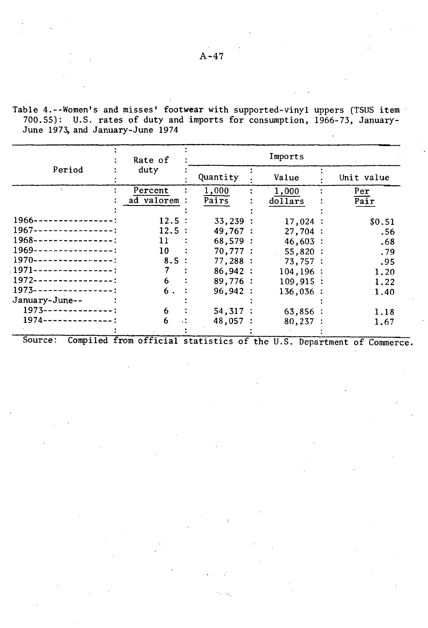Table 4.--Women's and misses' footwear with supported-vinyl uppers (TSUS item 700.55): U.S. rates of duty and imports for consumption, 1966-73, January-June 1973, and January-June 1974

|                            | Rate of           | Imports  |  |            |  |                   |
|----------------------------|-------------------|----------|--|------------|--|-------------------|
| Period                     | duty              | Quantity |  | Value      |  | Unit value        |
|                            | Percent           | 1,000    |  | 1,000      |  | Per               |
|                            | ad valorem :      | Pairs    |  | dollars    |  | $\overline{Pair}$ |
|                            |                   |          |  |            |  |                   |
| $1966--$                   | 12.5:             | 33,239:  |  | 17,024:    |  | \$0,51            |
| 1967-----------------:     | 12.5:             | 49,767:  |  | 27,704:    |  | .56               |
| $1968--$<br>-------------! | 11                | 68,579:  |  | 46,603:    |  | .68               |
| $1969--$<br>. <u>.</u>     | 10                | 70,777:  |  | 55,820:    |  | .79               |
| 1970-                      | 8.5:              | 77,288:  |  | 73,757:    |  | .95               |
| 1971-                      | 7.                | 86,942:  |  | 104, 196:  |  | 1,20              |
| 1972-                      | 6                 | 89,776:  |  | 109,915:   |  | 1,22              |
| 1973-                      | б.                | 96,942:  |  | 136,036:   |  | 1.40              |
| January-June--             |                   |          |  |            |  |                   |
| $1973 - -$                 | 6.                | 54,317:  |  | 63,856 :   |  | 1.18              |
| 1974-<br>-----------       | 6<br>$\mathbf{C}$ | 48,057:  |  | $80,237$ : |  | 1,67              |
|                            |                   |          |  |            |  |                   |

Source: Compiled from official statistics of the U.S. Department of Commerce.

A-47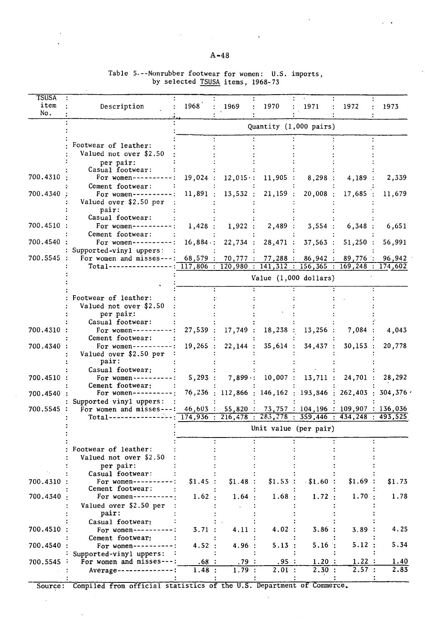## A-48

| <b>TSUSA</b> |                                                                 |            |                |                                                                            |               |                                   |              |
|--------------|-----------------------------------------------------------------|------------|----------------|----------------------------------------------------------------------------|---------------|-----------------------------------|--------------|
| item<br>No.  | Description                                                     | 1968       | 1969           | 1970                                                                       | 1971          | 1972                              | 1973         |
|              |                                                                 |            |                | Quantity (1,000 pairs)                                                     |               |                                   |              |
|              | Footwear of leather:                                            |            |                |                                                                            |               |                                   |              |
|              | Valued not over \$2.50<br>per pair:                             |            |                |                                                                            |               |                                   |              |
| 700.4310     | Casual footwear:<br>For women--------                           | 19,024     | $12,015$ :     | 11,905                                                                     | 8,298         | 4,189                             | 2,339        |
| 700.4340     | Cement footwear:<br>For women----------                         | $11,891$ ; | 13,532:        | 21,159                                                                     | $20,008$ :    | 17,685                            | 11,679       |
|              | Valued over \$2.50 per<br>pair:                                 |            |                |                                                                            |               |                                   |              |
| 700.4510     | Casual footwear:<br>For women----------                         | 1,428:     | 1,922:         | 2,489 :                                                                    | 3,554:        | 6,348                             | 6,651        |
| 700.4540     | Cement footwear:<br>For women ----------:                       | 16,884     | 22,734 :       | 28,471 :                                                                   | 37,563:       | $51,250$ :                        | 56,991       |
| 700.5545     | Supported-vinyl uppers:<br>For women and misses---:             | 68,579 :   |                | 70,777: 77,288: 86,942: 89,776:                                            |               |                                   | 96,942       |
|              | Total-----------                                                |            |                | $117,806: 120,980: 141,312: 156,365: 169,248: 174,602$                     |               |                                   |              |
|              |                                                                 |            |                | Value $(1,000$ dollars)                                                    |               |                                   |              |
|              | Footwear of leather:<br>Valued not over \$2.50<br>per pair:     |            |                |                                                                            |               |                                   |              |
| 700.4310     | Casual footwear:<br>For women--------                           | 27,539 :   | 17,749 :       | 18,238                                                                     | 13,256:       | 7,084                             | 4,043        |
| 700.4340     | Cement footwear:<br>For women--------<br>Valued over \$2.50 per | 19,265     | 22,144         | 35,614                                                                     | 34,437        | 30,153                            | 20,778       |
| 700.4510     | pair:<br>Casual footwear:<br>For women ----------               | 5,293      | 7,899:         | 10,007:                                                                    | 13,711 :      | $24,701$ :                        | 28,292       |
| 700.4540     | Cement footwear:<br>For women---------                          |            |                | 76,236 : 112,866 : 146,162 : 193,846                                       |               | 262,403                           | 304,376      |
| 700.5545     | Supported vinyl uppers:<br>For women and misses---              | 46,603 :   | $55,820$ :     |                                                                            |               | 73,757: 104,196: 109,907: 136,036 |              |
|              | Tota1-------------                                              | 174,936:   |                | $216,478 : 283,778 : 359,446 : 434,248 : 493,525$<br>Unit value (per pair) |               |                                   |              |
|              |                                                                 |            |                |                                                                            |               |                                   |              |
|              | Footwear of leather:<br>Valued not over \$2.50<br>per pair:     |            |                |                                                                            |               |                                   |              |
| 700.4310     | Casual footwear:<br>For women----------<br>Cement footwear:     | \$1.45     | $$1.48$ :      | \$1.53:                                                                    | $.$ \$1.60 :  | \$1.69                            | \$1.73       |
| 700.4340     | For women-----                                                  | 1.62       | 1.64           | 1.68                                                                       | 1.72          | 1.70:                             | 1.78         |
|              | Valued over \$2.50 per<br>pair:<br>Casual footwear:             |            |                |                                                                            |               |                                   |              |
| 700.4510     | For women----------<br>Cement footwear:                         | 3.71       | 4.11:          | 4.02:                                                                      | 3.86 :        | $3.89$ :                          | 4.25         |
| 700.4540     | For women-----<br>Supported-vinyl uppers:                       | 4.52       | 4.96 :         | 5.13:                                                                      | $5.16$ :      | 5.12 :                            | 5.34         |
| 700.5545     | For women and misses---:                                        | .68 :      | .79 :<br>1.79: | .95:<br>2.01:                                                              | 1.20:<br>2.30 | 1.22:<br>2.57:                    | 1.40<br>2.83 |
|              | $Average-----$                                                  | 1.48:      |                |                                                                            |               |                                   |              |

#### Table 5.--Nonrubber footwear for women: U.S. imports, by selected TSUSA items, 1968-73

Source: Compiled from official statistics of the U.S. Department of Commerce.

 $\ddot{\phantom{a}}$ 

 $\ddot{\phantom{a}}$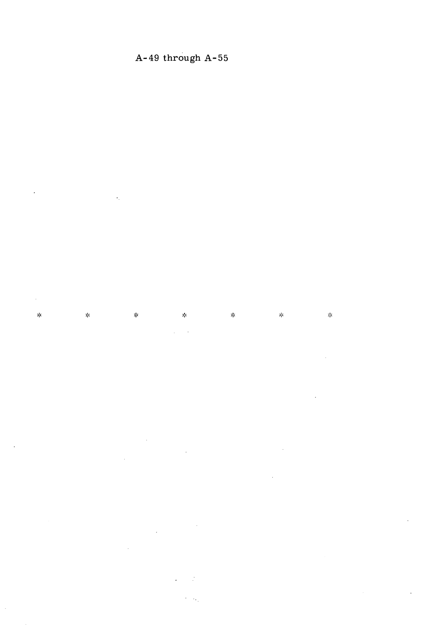# $A-49$  through  $A-55$

 $\hat{\mathcal{A}}_2$  $\hat{\mathcal{E}}$  $\frac{1}{2} \xi$  $*$  $\mathbf{x}^{\prime}_\mathrm{c}$  $\mathcal{H}$  $\mathbb{R}^{\mathbb{Z}}$  $\mathcal{H}^{\text{c}}$  $\frac{1}{2}$  $\omega_{\rm c}$  ,  $\omega_{\rm c}$ 

 $\ddot{\phantom{0}}$ 

 $\mathcal{L}_{\mathrm{max}}$  $\mathcal{A}^{(1)}$  $\sim 10$  $\mathcal{L}^{\text{max}}_{\text{max}}$ 

 $\sim 10^7$  $\omega_{\rm c} = 2$ 

 $\tau = \tau_{\rm eq}$ 

 $\sim$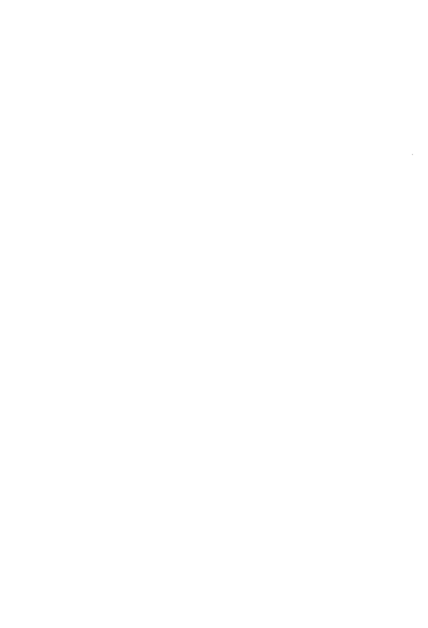Ŷ,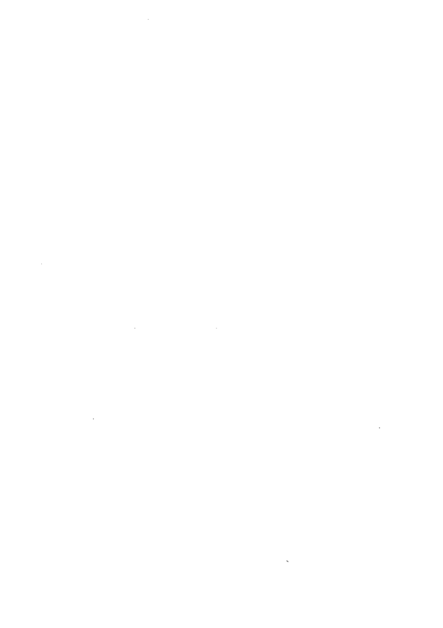$\mathcal{A}^{\text{max}}_{\text{max}}$  $\label{eq:2.1} \mathcal{L}(\mathcal{L}^{\mathcal{L}}_{\mathcal{L}}(\mathcal{L}^{\mathcal{L}}_{\mathcal{L}})) = \mathcal{L}(\mathcal{L}^{\mathcal{L}}_{\mathcal{L}}(\mathcal{L}^{\mathcal{L}}_{\mathcal{L}})) = \mathcal{L}(\mathcal{L}^{\mathcal{L}}_{\mathcal{L}}(\mathcal{L}^{\mathcal{L}}_{\mathcal{L}})) = \mathcal{L}(\mathcal{L}^{\mathcal{L}}_{\mathcal{L}}(\mathcal{L}^{\mathcal{L}}_{\mathcal{L}}))$  $\label{eq:2.1} \mathcal{L}(\mathcal{L}) = \mathcal{L}(\mathcal{L}) \mathcal{L}(\mathcal{L}) = \mathcal{L}(\mathcal{L}) \mathcal{L}(\mathcal{L})$  $\mathcal{L}^{\text{max}}_{\text{max}}$  , where  $\mathcal{L}^{\text{max}}_{\text{max}}$ 

 $\mathbf{S}^{(n)}$  and  $\mathbf{S}^{(n)}$ 

 $\sim$